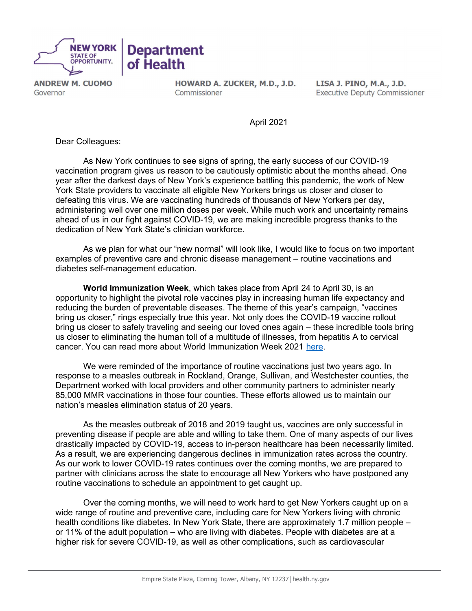

**ANDREW M. CUOMO** Governor

HOWARD A. ZUCKER, M.D., J.D. Commissioner

LISA J. PINO, M.A., J.D. **Executive Deputy Commissioner** 

April 2021

Dear Colleagues:

 As New York continues to see signs of spring, the early success of our COVID-19 vaccination program gives us reason to be cautiously optimistic about the months ahead. One year after the darkest days of New York's experience battling this pandemic, the work of New York State providers to vaccinate all eligible New Yorkers brings us closer and closer to defeating this virus. We are vaccinating hundreds of thousands of New Yorkers per day, administering well over one million doses per week. While much work and uncertainty remains ahead of us in our fight against COVID-19, we are making incredible progress thanks to the dedication of New York State's clinician workforce.

 As we plan for what our "new normal" will look like, I would like to focus on two important examples of preventive care and chronic disease management – routine vaccinations and diabetes self-management education.

World Immunization Week, which takes place from April 24 to April 30, is an opportunity to highlight the pivotal role vaccines play in increasing human life expectancy and reducing the burden of preventable diseases. The theme of this year's campaign, "vaccines bring us closer," rings especially true this year. Not only does the COVID-19 vaccine rollout bring us closer to safely traveling and seeing our loved ones again – these incredible tools bring us closer to eliminating the human toll of a multitude of illnesses, from hepatitis A to cervical cancer. You can read more about World Immunization Week 2021 [here.](https://www.who.int/campaigns/world-immunization-week/2021)

We were reminded of the importance of routine vaccinations just two vears ago. In response to a measles outbreak in Rockland, Orange, Sullivan, and Westchester counties, the Department worked with local providers and other community partners to administer nearly 85,000 MMR vaccinations in those four counties. These efforts allowed us to maintain our nation's measles elimination status of 20 years.

 As the measles outbreak of 2018 and 2019 taught us, vaccines are only successful in preventing disease if people are able and willing to take them. One of many aspects of our lives drastically impacted by COVID-19, access to in-person healthcare has been necessarily limited. As a result, we are experiencing dangerous declines in immunization rates across the country. As our work to lower COVID-19 rates continues over the coming months, we are prepared to partner with clinicians across the state to encourage all New Yorkers who have postponed any routine vaccinations to schedule an appointment to get caught up.

 Over the coming months, we will need to work hard to get New Yorkers caught up on a wide range of routine and preventive care, including care for New Yorkers living with chronic health conditions like diabetes. In New York State, there are approximately 1.7 million people – or 11% of the adult population – who are living with diabetes. People with diabetes are at a higher risk for severe COVID-19, as well as other complications, such as cardiovascular